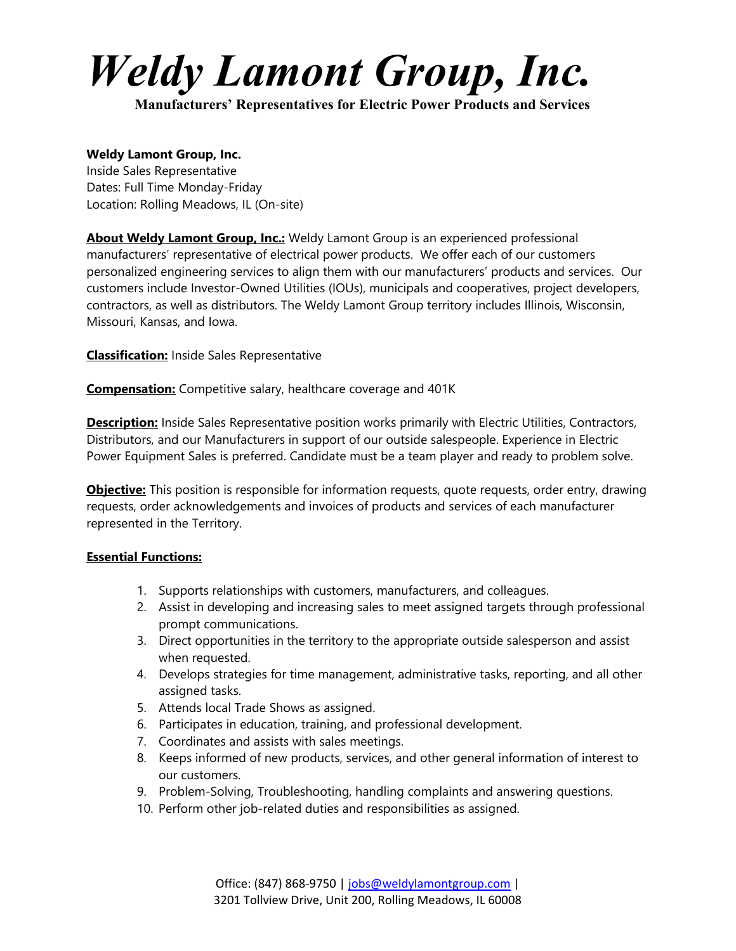# *Weldy Lamont Group, Inc.*

**Manufacturers' Representatives for Electric Power Products and Services** 

## **Weldy Lamont Group, Inc.**

Inside Sales Representative Dates: Full Time Monday-Friday Location: Rolling Meadows, IL (On-site)

**About Weldy Lamont Group, Inc.:** Weldy Lamont Group is an experienced professional manufacturers' representative of electrical power products. We offer each of our customers personalized engineering services to align them with our manufacturers' products and services. Our customers include Investor-Owned Utilities (IOUs), municipals and cooperatives, project developers, contractors, as well as distributors. The Weldy Lamont Group territory includes Illinois, Wisconsin, Missouri, Kansas, and Iowa.

**Classification:** Inside Sales Representative

**Compensation:** Competitive salary, healthcare coverage and 401K

**Description:** Inside Sales Representative position works primarily with Electric Utilities, Contractors, Distributors, and our Manufacturers in support of our outside salespeople. Experience in Electric Power Equipment Sales is preferred. Candidate must be a team player and ready to problem solve.

**Objective:** This position is responsible for information requests, quote requests, order entry, drawing requests, order acknowledgements and invoices of products and services of each manufacturer represented in the Territory.

#### **Essential Functions:**

- 1. Supports relationships with customers, manufacturers, and colleagues.
- 2. Assist in developing and increasing sales to meet assigned targets through professional prompt communications.
- 3. Direct opportunities in the territory to the appropriate outside salesperson and assist when requested.
- 4. Develops strategies for time management, administrative tasks, reporting, and all other assigned tasks.
- 5. Attends local Trade Shows as assigned.
- 6. Participates in education, training, and professional development.
- 7. Coordinates and assists with sales meetings.
- 8. Keeps informed of new products, services, and other general information of interest to our customers.
- 9. Problem-Solving, Troubleshooting, handling complaints and answering questions.
- 10. Perform other job-related duties and responsibilities as assigned.